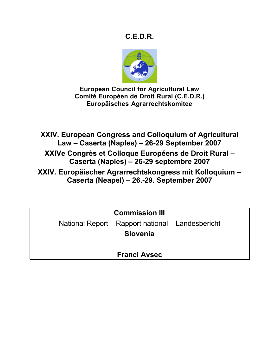# **C.E.D.R.**



**European Council for Agricultural Law Comité Européen de Droit Rural (C.E.D.R.) Europäisches Agrarrechtskomitee**

**XXIV. European Congress and Colloquium of Agricultural Law – Caserta (Naples) – 26-29 September 2007**

**XXIVe Congrès et Colloque Européens de Droit Rural – Caserta (Naples) – 26-29 septembre 2007**

**XXIV. Europäischer Agrarrechtskongress mit Kolloquium – Caserta (Neapel) – 26.-29. September 2007**

**Commission III**

National Report – Rapport national – Landesbericht **Slovenia**

**Franci Avsec**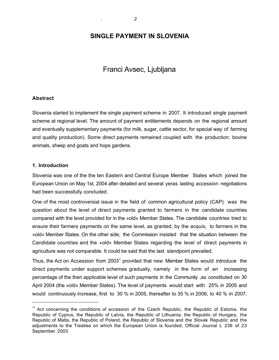# **SINGLE PAYMENT IN SLOVENIA**

# Franci Avsec, Ljubljana

### **Abstract**

Slovenia started to implement the single payment scheme in 2007. It introduced single payment scheme at regional level. The amount of payment entitlements depends on the regional amount and eventually supplementary payments (for milk, sugar, cattle sector, for special way of farming and quality production). Some direct payments remained coupled with the production: bovine animals, sheep and goats and hops gardens.

#### **1. Introduction**

Slovenia was one of the the ten Eastern and Central Europe Member States which joined the European Union on May 1st, 2004 after detailed and several yeras lasting accession negotiations had been successfully concluded.

One of the most controversial issue in the field of common agricultural policy (CAP) was the question about the level of direct payments granted to farmers in the candidate countries compared with the level provided for in the »old« Member States. The candidate countries tried to ensure their farmers payments on the same level, as granted, by the *acquis*, to farmers in the »old« Member States. On the other side, the Commission insisted that the situation between the Candidate countries and the »old« Member States regarding the level of direct payments in agriculture was not comparable. It could be said that the last standpoint prevailed.

Thus, the Act on Accession from 2003<sup>1</sup> provided that new Member States would introduce the direct payments under support schemes gradually, namely in the form of an increasing percentage of the then applicable level of such payments in the Community ,as constituted on 30 April 2004 (the »old« Member States). The level of payments would start with 25% in 2005 and would continuously increase, first to 30 % in 2005, thereafter to 35 % in 2006, to 40 % in 2007,

 $11$  Act concerning the conditions of accession of the Czech Republic, the Republic of Estonia, the Republic of Cyprus, the Republic of Latvia, the Republic of Lithuania, the Republic of Hungary, the Republic of Malta, the Republic of Poland, the Republic of Slovenia and the Slovak Republic and the adjustments to the Treaties on which the European Union is founded, Official Journal L 236 of 23 September 2003.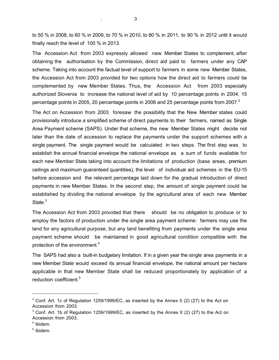to 50 % in 2008, to 60 % in 2009, to 70 % in 2010, to 80 % in 2011, to 90 % in 2012 until it would finally reach the level of 100 % in 2013.

The Accession Act from 2003 expressly allowed new Member States to complement, after obtaining the authorisation by the Commission, direct aid paid to farmers under any CAP scheme. Taking into account the factual level of support to farmers in some new Member States, the Accession Act from 2003 provided for two options how the direct aid to farmers could be complemented by new Member States. Thus, the Accession Act from 2003 especially authorized Slovenia to increase the national level of aid by 10 percentage points in 2004, 15 percentage points in 2005, 20 percentage points in 2006 and 25 percentage points from 2007. $^2$ 

The Act on Accession from 2003 foresaw the possibility that the New Member states could provisionally introduce a simplified scheme of direct payments to their farmers, named as Single Area Payment scheme (SAPS). Under that scheme, the new Member States might decide not later than the date of accession to replace the payments under the support schemes with a single payment. The single payment would be calculated in two steps. The first step was to establish the annual financial envelope the national envelope as a sum of funds available for each new Member State taking into account the limitations of production (base areas, premium ceilings and maximum guaranteed quantities), the level of individual aid schemes in the EU-15 before accession and the relevant percentage laid down for the gradual introduction of direct payments in new Member States. In the second step, the amount of single payment could be established by dividing the national envelope by the agricultural area of each new Member State.<sup>3</sup>

The Accession Act from 2003 provided that there should be no obligation to produce or to employ the factors of production under the single area payment scheme: farmers may use the land for any agricultural purpose, but any land benefiting from payments under the single area payment scheme should be maintained in good agricultural condition compatible with the protection of the environment.<sup>4</sup>

The SAPS had also a built-in budgetary limitation. If in a given year the single area payments in a new Member State would exceed its annual financial envelope, the national amount per hectare applicable in that new Member State shall be reduced proportionately by application of a reduction coefficient.<sup>5</sup>

 $\overline{a}$ 

 $2$  Conf. Art. 1c of Regulation 1259/1999/EC, as inserted by the Annex II (2) (27) to the Act on Accession from 2003.

 $3$  Conf. Art. 1b of Regulation 1259/1999/EC, as inserted by the Annex II (2) (27) to the Act on Accession from 2003.

 $4$  Ibidem.

<sup>5</sup> Ibidem.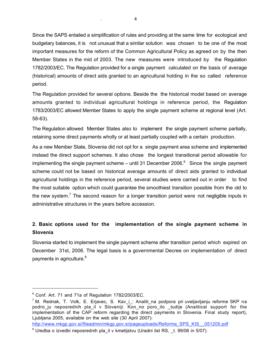Since the SAPS entailed a simplification of rules and providing at the same time for ecological and budgetary balances, it is not unusual that a similar solution was chosen to be one of the most important measures for the reform of the Common Agricultural Policy as agreed on by the then Member States in the mid of 2003. The new measures were introduced by the Regulation 1782/2003/EC. The Regulation provided for a single payment calculated on the basis of average (historical) amounts of direct aids granted to an agricultural holding in the so called reference period.

The Regulation provided for several options. Beside the the historical model based on average amounts granted to individual agricultural holdings in reference period, the Regulation 1783/2003/EC allowed Member States to apply the single payment scheme at regional level (Art. 58-63).

The Regulation allowed Member States also to implement the single payment scheme partially, retaining some direct payments wholly or at least partially coupled with a certain production.

As a new Member State, Slovenia did not opt for a single payment area scheme and implemented instead the direct support schemes. It also chose the longest transitional period allowable for implementing the single payment scheme – until 31 December 2006. $^6$  Since the single payment scheme could not be based on historical average amounts of direct aids granted to individual agricultural holdings in the reference period, several studies were carried out in order to find the most suitable option which could guarantee the smoothiest transition possible from the old to the new system.<sup>7</sup> The second reason for a longer transition period were not negligible inputs in administrative structures in the years before accession.

# **2. Basic options used for the implementation of the single payment scheme in Slovenia**

Slovenia started to implement the single payment scheme after transition period which expired on December 31st, 2006. The legal basis is a governmental Decree on implementation of direct payments in agriculture.<sup>8</sup>

 $\overline{a}$ 

http://www.mkgp.gov.si/fileadmin/mkgp.gov.si/pageuploads/Reforma\_SPS\_KIS\_\_051205.pdf

<sup>6</sup> Conf. Art. 71 and 71a of Regulation 1782/2003/EC.

 $<sup>7</sup>$  M. Rednak, T. Volk, E. Erjavec, S. Kav\_i\_: Analiti\_na podpora pri uveljavljanju reforme SKP na</sup> podro ju neposrednih pla il v Sloveniji. Kon no poro ilo tudije (Analitical support for the implementation of the CAP reform regarding the direct payments in Slovenia. Final study report), Ljubljana 2005, available on the web site (30 April 2007):

 $8$  Uredba o izvedbi neposrednih pla il v kmetijstvu (Uradni list RS, t. 99/06 in 5/07).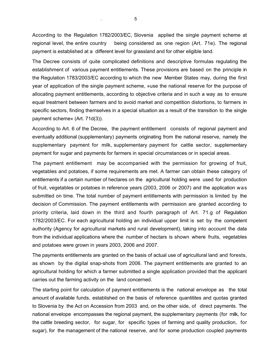According to the Regulation 1782/2003/EC, Slovenia applied the single payment scheme at regional level, the entire country being considered as one region (Art. 71e). The regional payment is established at a different level for grassland and for other eligible land.

The Decree consists of quite complicated definitions and descriptive formulas regulating the establishment of various payment entitlements. These provisions are based on the principle in the Regulation 1783/2003/EC according to which the new Member States may, during the first year of application of the single payment scheme, »use the national reserve for the purpose of allocating payment entitlements, according to objective criteria and in such a way as to ensure equal treatment between farmers and to avoid market and competition distortions, to farmers in specific sectors, finding themselves in a special situation as a result of the transition to the single payment scheme« (Art. 71d(3)).

According to Art. 6 of the Decree, the payment entitlement consists of regional payment and eventually additional (supplementary) payments originating from the national reserve, namely the supplementary payment for milk, supplementary payment for cattle sector, supplementary payment for sugar and payments for farmers in special circumstances or in special areas.

The payment entitlement may be accompanied with the permission for growing of fruit, vegetables and potatoes, if some requirements are met. A farmer can obtain these category of entitlements if a certain number of hectares on the agricultural holding were used for production of fruit, vegetables or potatoes in reference years (2003, 2006 or 2007) and the application was submitted on time. The total number of payment entitlements with permission is limited by the decision of Commission. The payment entitlements with permission are granted according to priority criteria, laid down in the third and fourth paragraph of Art. 71.g of Regulation 1782/2003/EC. For each agricultural holding an individual upper limit is set by the competent authority (Agency for agricultural markets and rural development), taking into account the data from the individual applications where the number of hectars is shown where fruits, vegetables and potatoes were grown in years 2003, 2006 and 2007.

The payments entitlements are granted on the basis of actual use of agricultural land and forests, as shown by the digital snap-shots from 2006. The payment entitlements are granted to an agricultural holding for which a farmer submitted a single application provided that the applicant carries out the farming activity on the land concerned.

The starting point for calculation of payment entitlements is the national envelope as the total amount of available funds, established on the basis of reference quantitites and quotas granted to Slovenia by the Act on Accession from 2003 and, on the other side, of direct payments. The national envelope encompasses the regional payment, the supplementary payments (for milk, for the cattle breeding sector, for sugar, for specific types of farming and quality production, for sugar), for the management of the national reserve, and for some production coupled payments

. 5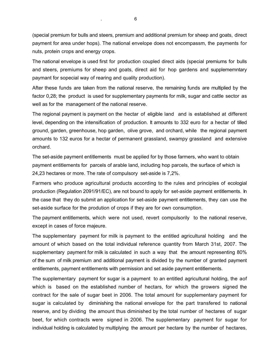(special premium for bulls and steers, premium and additional premium for sheep and goats, direct payment for area under hops). The national envelope does not encompassm, the payments for nuts, protein crops and energy crops.

The national envelope is used first for production coupled direct aids (special premiums for bulls and steers, premiums for sheep and goats, direct aid for hop gardens and supplememntary paymant for sopecial way of rearing and quality production).

After these funds are taken from the national reserve, the remaining funds are multiplied by the factor 0,28; the product is used for supplementary payments for milk, sugar and cattle sector as well as for the management of the national reserve.

The regional payment is payment on the hectar of eligible land and is established at different level, depending on the intensification of production. It amounts to 332 euro for a hectar of tilled ground, garden, greenhouse, hop garden, olive grove, and orchard, while the regional payment amounts to 132 euros for a hectar of permanent grassland, swampy grassland and extensive orchard.

The set-aside payment entitlements must be applied for by those farmers, who want to obtain payment entitlements for parcels of arable land, including hop parcels, the surface of which is 24,23 hectares or more. The rate of compulsory set-aside is 7,2%.

Farmers who produce agricultural products according to the rules and principles of ecologial production (Regulation 2091/91/EC), are not bound to apply for set-aside payment entitlements. In the case that they do submit an application for set-aside payment entitlements, they can use the set-aside surface for the prodution of crops if they are for own consumption.

The payment entitlements, which were not used, revert compulsorily to the national reserve, except in cases of force majeure.

The supplementary payment for milk is payment to the entitled agricultural holding and the amount of which based on the total individual reference quantity from March 31st, 2007. The supplementary payment for milk is calculated in such a way that the amount representing 80% of the sum of milk premium and additional payment is divided by the number of granted payment entitlements, payment entitlements with permission and set aside payment entitlements.

The supplementary payment for sugar is a payment to an entitled agricultural holding, the aof which is based on the established number of hectars, for which the growers signed the contract for the sale of sugar beet in 2006. The total amount for supplementary payment for sugar is calculated by diminishing the national envelope for the part transfered to national reserve, and by dividing the amount thus diminished by the total number of hectares of sugar beet, for which contracts were signed in 2006. The supplementary payment for sugar for individual holding is calculated by multiplying the amount per hectare by the number of hectares,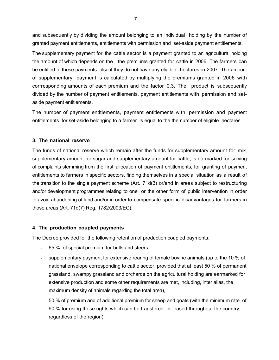and subsequently by dividing the amount belonging to an individual holding by the number of granted payment entitlements, entitlements with permission and set-aside payment entitlements.

The supplementary payment for the cattle sector is a payment granted to an agricultural holding the amount of which depends on the the premiums granted for cattle in 2006. The farmers can be entitled to these payments also if they do not have any eligible hectares in 2007. The amount of supplementary payment is calculated by multiplying the premiums granted in 2006 with corrresponding amounts of each premium and the factor 0,3. The product is subsequently divided by the number of payment entitlements, payment entitlements with permission and setaside payment entitlements.

The number of payment entitlements, payment entitlements with permission and payment entitlements for set-aside belonging to a farmer is equal to the the number of eligible hectares.

## **3. The national reserve**

The funds of national reserve which remain after the funds for supplementary amount for milk, supplementary amount for sugar and supplementary amount for cattle, is earmarked for solving of complaints stemming from the first allocation of payment entitlements, for granting of payment entitlements to farmers in specific sectors, finding themselves in a special situation as a result of the transition to the single payment scheme (Art. 71d(3) or/and in areas subject to restructuring and/or development programmes relating to one or the other form of public intervention in order to avoid abandoning of land and/or in order to compensate specific disadvantages for farmers in those areas (Art. 71d(7) Reg. 1782/2003/EC).

## **4. The production coupled payments**

The Decree provided for the following retention of production coupled payments:

- 65 % of special premium for bulls and steers,
- supplementary payment for extensive rearing of female bovine animals (up to the 10 % of national envelope corresponding to cattle sector, provided that at least 50 % of permanent grassland, swampy grassland and orchards on the agricultural holding are earmarked for extensive production and some other requirements are met, including, inter alias, the maximum density of animals regarding the total area),
- 50 % of premium and of additional premium for sheep and goats (with the minimum rate of 90 % for using those rights which can be transfered or leased throughout the country, regardless of the region),